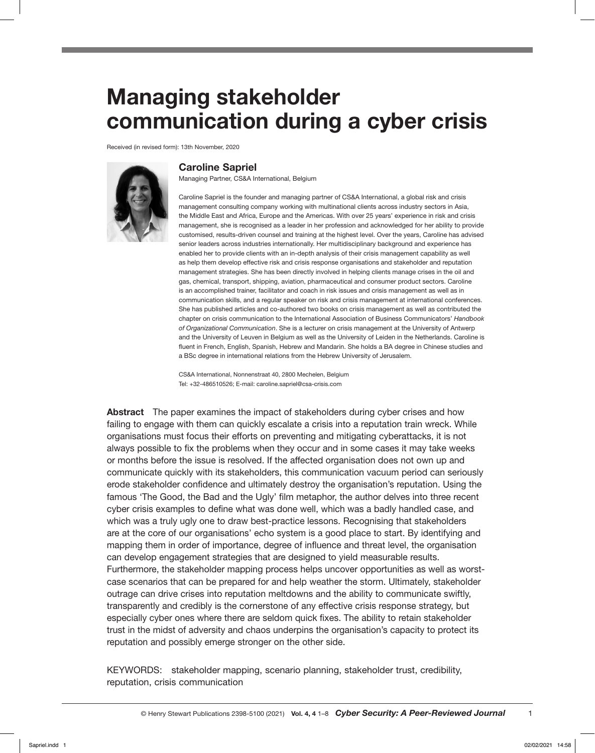# Managing stakeholder communication during a cyber crisis

Received (in revised form): 13th November, 2020



## Caroline Sapriel

Managing Partner, CS&A International, Belgium

Caroline Sapriel is the founder and managing partner of CS&A International, a global risk and crisis management consulting company working with multinational clients across industry sectors in Asia, the Middle East and Africa, Europe and the Americas. With over 25 years' experience in risk and crisis management, she is recognised as a leader in her profession and acknowledged for her ability to provide customised, results-driven counsel and training at the highest level. Over the years, Caroline has advised senior leaders across industries internationally. Her multidisciplinary background and experience has enabled her to provide clients with an in-depth analysis of their crisis management capability as well as help them develop effective risk and crisis response organisations and stakeholder and reputation management strategies. She has been directly involved in helping clients manage crises in the oil and gas, chemical, transport, shipping, aviation, pharmaceutical and consumer product sectors. Caroline is an accomplished trainer, facilitator and coach in risk issues and crisis management as well as in communication skills, and a regular speaker on risk and crisis management at international conferences. She has published articles and co-authored two books on crisis management as well as contributed the chapter on crisis communication to the International Association of Business Communicators' *Handbook of Organizational Communication*. She is a lecturer on crisis management at the University of Antwerp and the University of Leuven in Belgium as well as the University of Leiden in the Netherlands. Caroline is fluent in French, English, Spanish, Hebrew and Mandarin. She holds a BA degree in Chinese studies and a BSc degree in international relations from the Hebrew University of Jerusalem.

CS&A International, Nonnenstraat 40, 2800 Mechelen, Belgium Tel: +32-486510526; E-mail: caroline.sapriel@csa-crisis.com

Abstract The paper examines the impact of stakeholders during cyber crises and how failing to engage with them can quickly escalate a crisis into a reputation train wreck. While organisations must focus their efforts on preventing and mitigating cyberattacks, it is not always possible to fix the problems when they occur and in some cases it may take weeks or months before the issue is resolved. If the affected organisation does not own up and communicate quickly with its stakeholders, this communication vacuum period can seriously erode stakeholder confidence and ultimately destroy the organisation's reputation. Using the famous 'The Good, the Bad and the Ugly' film metaphor, the author delves into three recent cyber crisis examples to define what was done well, which was a badly handled case, and which was a truly ugly one to draw best-practice lessons. Recognising that stakeholders are at the core of our organisations' echo system is a good place to start. By identifying and mapping them in order of importance, degree of influence and threat level, the organisation can develop engagement strategies that are designed to yield measurable results. Furthermore, the stakeholder mapping process helps uncover opportunities as well as worstcase scenarios that can be prepared for and help weather the storm. Ultimately, stakeholder outrage can drive crises into reputation meltdowns and the ability to communicate swiftly, transparently and credibly is the cornerstone of any effective crisis response strategy, but especially cyber ones where there are seldom quick fixes. The ability to retain stakeholder trust in the midst of adversity and chaos underpins the organisation's capacity to protect its reputation and possibly emerge stronger on the other side.

KEYWORDS: stakeholder mapping, scenario planning, stakeholder trust, credibility, reputation, crisis communication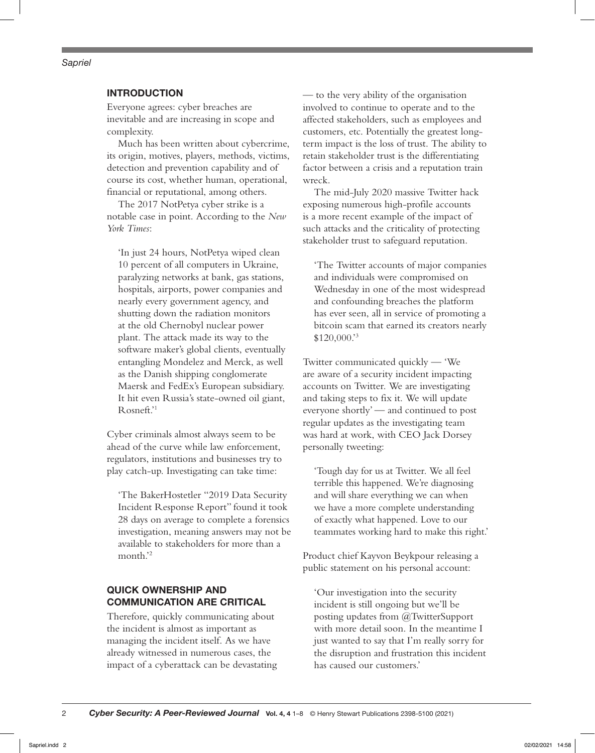#### *Sapriel*

## INTRODUCTION

Everyone agrees: cyber breaches are inevitable and are increasing in scope and complexity.

Much has been written about cybercrime, its origin, motives, players, methods, victims, detection and prevention capability and of course its cost, whether human, operational, financial or reputational, among others.

The 2017 NotPetya cyber strike is a notable case in point. According to the *New York Times*:

'In just 24 hours, NotPetya wiped clean 10 percent of all computers in Ukraine, paralyzing networks at bank, gas stations, hospitals, airports, power companies and nearly every government agency, and shutting down the radiation monitors at the old Chernobyl nuclear power plant. The attack made its way to the software maker's global clients, eventually entangling Mondelez and Merck, as well as the Danish shipping conglomerate Maersk and FedEx's European subsidiary. It hit even Russia's state-owned oil giant, Rosneft.'1

Cyber criminals almost always seem to be ahead of the curve while law enforcement, regulators, institutions and businesses try to play catch-up. Investigating can take time:

'The BakerHostetler "2019 Data Security Incident Response Report" found it took 28 days on average to complete a forensics investigation, meaning answers may not be available to stakeholders for more than a month.'2

## QUICK OWNERSHIP AND COMMUNICATION ARE CRITICAL

Therefore, quickly communicating about the incident is almost as important as managing the incident itself. As we have already witnessed in numerous cases, the impact of a cyberattack can be devastating

— to the very ability of the organisation involved to continue to operate and to the affected stakeholders, such as employees and customers, etc. Potentially the greatest longterm impact is the loss of trust. The ability to retain stakeholder trust is the differentiating factor between a crisis and a reputation train wreck.

The mid-July 2020 massive Twitter hack exposing numerous high-profile accounts is a more recent example of the impact of such attacks and the criticality of protecting stakeholder trust to safeguard reputation.

'The Twitter accounts of major companies and individuals were compromised on Wednesday in one of the most widespread and confounding breaches the platform has ever seen, all in service of promoting a bitcoin scam that earned its creators nearly \$120,000.'3

Twitter communicated quickly — 'We are aware of a security incident impacting accounts on Twitter. We are investigating and taking steps to fix it. We will update everyone shortly' — and continued to post regular updates as the investigating team was hard at work, with CEO Jack Dorsey personally tweeting:

'Tough day for us at Twitter. We all feel terrible this happened. We're diagnosing and will share everything we can when we have a more complete understanding of exactly what happened. Love to our teammates working hard to make this right.'

Product chief Kayvon Beykpour releasing a public statement on his personal account:

'Our investigation into the security incident is still ongoing but we'll be posting updates from @TwitterSupport with more detail soon. In the meantime I just wanted to say that I'm really sorry for the disruption and frustration this incident has caused our customers.'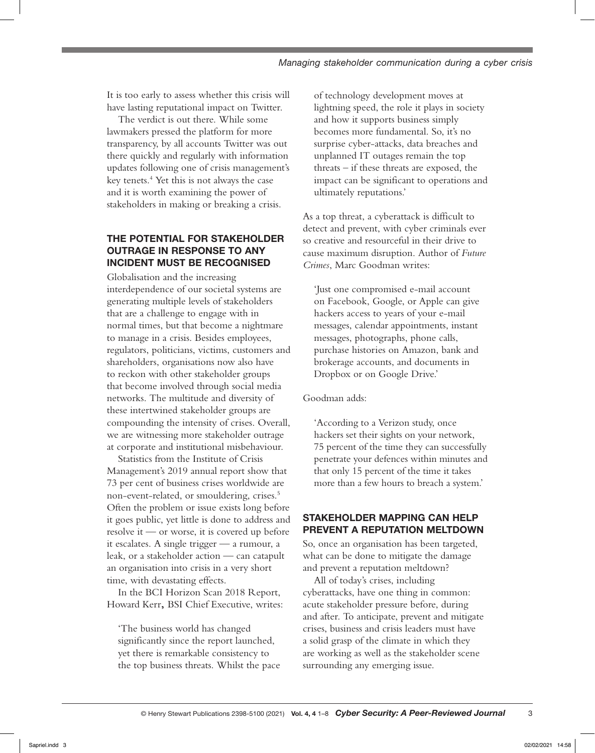It is too early to assess whether this crisis will have lasting reputational impact on Twitter.

The verdict is out there. While some lawmakers pressed the platform for more transparency, by all accounts Twitter was out there quickly and regularly with information updates following one of crisis management's key tenets.4 Yet this is not always the case and it is worth examining the power of stakeholders in making or breaking a crisis.

## THE POTENTIAL FOR STAKEHOLDER OUTRAGE IN RESPONSE TO ANY INCIDENT MUST BE RECOGNISED

Globalisation and the increasing interdependence of our societal systems are generating multiple levels of stakeholders that are a challenge to engage with in normal times, but that become a nightmare to manage in a crisis. Besides employees, regulators, politicians, victims, customers and shareholders, organisations now also have to reckon with other stakeholder groups that become involved through social media networks. The multitude and diversity of these intertwined stakeholder groups are compounding the intensity of crises. Overall, we are witnessing more stakeholder outrage at corporate and institutional misbehaviour.

Statistics from the Institute of Crisis Management's 2019 annual report show that 73 per cent of business crises worldwide are non-event-related, or smouldering, crises.5 Often the problem or issue exists long before it goes public, yet little is done to address and resolve it — or worse, it is covered up before it escalates. A single trigger — a rumour, a leak, or a stakeholder action — can catapult an organisation into crisis in a very short time, with devastating effects.

In the BCI Horizon Scan 2018 Report, Howard Kerr**,** BSI Chief Executive, writes:

'The business world has changed significantly since the report launched, yet there is remarkable consistency to the top business threats. Whilst the pace

of technology development moves at lightning speed, the role it plays in society and how it supports business simply becomes more fundamental. So, it's no surprise cyber-attacks, data breaches and unplanned IT outages remain the top threats – if these threats are exposed, the impact can be significant to operations and ultimately reputations.'

As a top threat, a cyberattack is difficult to detect and prevent, with cyber criminals ever so creative and resourceful in their drive to cause maximum disruption. Author of *Future Crimes*, Marc Goodman writes:

'Just one compromised e-mail account on Facebook, Google, or Apple can give hackers access to years of your e-mail messages, calendar appointments, instant messages, photographs, phone calls, purchase histories on Amazon, bank and brokerage accounts, and documents in Dropbox or on Google Drive.'

Goodman adds:

'According to a Verizon study, once hackers set their sights on your network, 75 percent of the time they can successfully penetrate your defences within minutes and that only 15 percent of the time it takes more than a few hours to breach a system.'

## STAKEHOLDER MAPPING CAN HELP PREVENT A REPUTATION MELTDOWN

So, once an organisation has been targeted, what can be done to mitigate the damage and prevent a reputation meltdown?

All of today's crises, including cyberattacks, have one thing in common: acute stakeholder pressure before, during and after. To anticipate, prevent and mitigate crises, business and crisis leaders must have a solid grasp of the climate in which they are working as well as the stakeholder scene surrounding any emerging issue.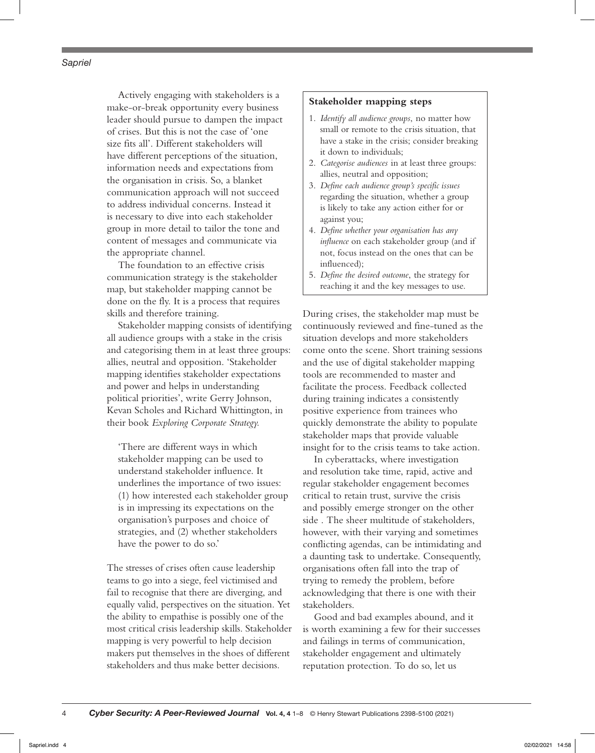#### *Sapriel*

Actively engaging with stakeholders is a make-or-break opportunity every business leader should pursue to dampen the impact of crises. But this is not the case of 'one size fits all'. Different stakeholders will have different perceptions of the situation, information needs and expectations from the organisation in crisis. So, a blanket communication approach will not succeed to address individual concerns. Instead it is necessary to dive into each stakeholder group in more detail to tailor the tone and content of messages and communicate via the appropriate channel.

The foundation to an effective crisis communication strategy is the stakeholder map, but stakeholder mapping cannot be done on the fly. It is a process that requires skills and therefore training.

Stakeholder mapping consists of identifying all audience groups with a stake in the crisis and categorising them in at least three groups: allies, neutral and opposition. 'Stakeholder mapping identifies stakeholder expectations and power and helps in understanding political priorities', write Gerry Johnson, Kevan Scholes and Richard Whittington, in their book *Exploring Corporate Strategy.*

'There are different ways in which stakeholder mapping can be used to understand stakeholder influence. It underlines the importance of two issues: (1) how interested each stakeholder group is in impressing its expectations on the organisation's purposes and choice of strategies, and (2) whether stakeholders have the power to do so.'

The stresses of crises often cause leadership teams to go into a siege, feel victimised and fail to recognise that there are diverging, and equally valid, perspectives on the situation. Yet the ability to empathise is possibly one of the most critical crisis leadership skills. Stakeholder mapping is very powerful to help decision makers put themselves in the shoes of different stakeholders and thus make better decisions.

#### **Stakeholder mapping steps**

- 1. *Identify all audience groups*, no matter how small or remote to the crisis situation, that have a stake in the crisis; consider breaking it down to individuals;
- 2. *Categorise audiences* in at least three groups: allies, neutral and opposition;
- 3. *Define each audience group's specific issues* regarding the situation, whether a group is likely to take any action either for or against you;
- 4. *Define whether your organisation has any influence* on each stakeholder group (and if not, focus instead on the ones that can be influenced);
- 5. *Define the desired outcome*, the strategy for reaching it and the key messages to use.

During crises, the stakeholder map must be continuously reviewed and fine-tuned as the situation develops and more stakeholders come onto the scene. Short training sessions and the use of digital stakeholder mapping tools are recommended to master and facilitate the process. Feedback collected during training indicates a consistently positive experience from trainees who quickly demonstrate the ability to populate stakeholder maps that provide valuable insight for to the crisis teams to take action.

In cyberattacks, where investigation and resolution take time, rapid, active and regular stakeholder engagement becomes critical to retain trust, survive the crisis and possibly emerge stronger on the other side . The sheer multitude of stakeholders, however, with their varying and sometimes conflicting agendas, can be intimidating and a daunting task to undertake. Consequently, organisations often fall into the trap of trying to remedy the problem, before acknowledging that there is one with their stakeholders.

Good and bad examples abound, and it is worth examining a few for their successes and failings in terms of communication, stakeholder engagement and ultimately reputation protection. To do so, let us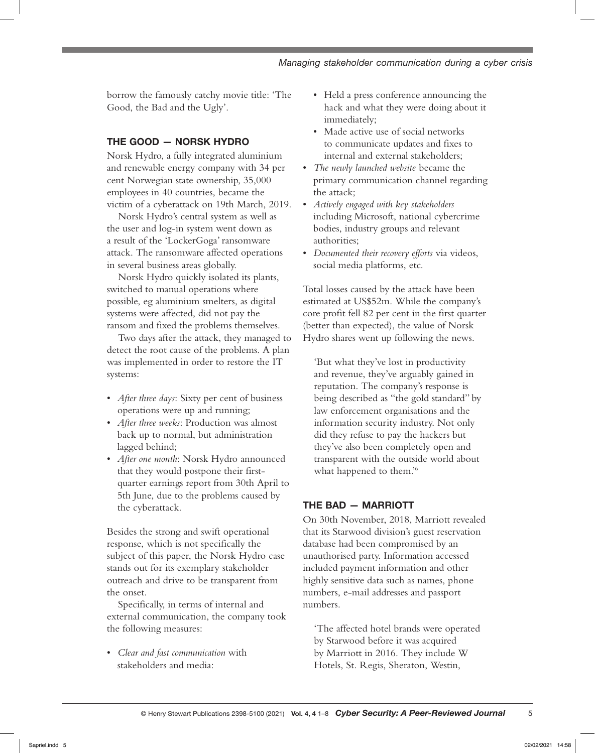borrow the famously catchy movie title: 'The Good, the Bad and the Ugly'.

## THE GOOD — NORSK HYDRO

Norsk Hydro, a fully integrated aluminium and renewable energy company with 34 per cent Norwegian state ownership, 35,000 employees in 40 countries, became the victim of a cyberattack on 19th March, 2019.

Norsk Hydro's central system as well as the user and log-in system went down as a result of the 'LockerGoga' ransomware attack. The ransomware affected operations in several business areas globally.

Norsk Hydro quickly isolated its plants, switched to manual operations where possible, eg aluminium smelters, as digital systems were affected, did not pay the ransom and fixed the problems themselves.

Two days after the attack, they managed to detect the root cause of the problems. A plan was implemented in order to restore the IT systems:

- *After three days*: Sixty per cent of business operations were up and running;
- *After three weeks*: Production was almost back up to normal, but administration lagged behind;
- *After one month*: Norsk Hydro announced that they would postpone their firstquarter earnings report from 30th April to 5th June, due to the problems caused by the cyberattack.

Besides the strong and swift operational response, which is not specifically the subject of this paper, the Norsk Hydro case stands out for its exemplary stakeholder outreach and drive to be transparent from the onset.

Specifically, in terms of internal and external communication, the company took the following measures:

• *Clear and fast communication* with stakeholders and media:

- Held a press conference announcing the hack and what they were doing about it immediately;
- Made active use of social networks to communicate updates and fixes to internal and external stakeholders;
- *The newly launched website* became the primary communication channel regarding the attack;
- *Actively engaged with key stakeholders*  including Microsoft, national cybercrime bodies, industry groups and relevant authorities;
- *Documented their recovery efforts* via videos, social media platforms, etc.

Total losses caused by the attack have been estimated at US\$52m. While the company's core profit fell 82 per cent in the first quarter (better than expected), the value of Norsk Hydro shares went up following the news.

'But what they've lost in productivity and revenue, they've arguably gained in reputation. The company's response is being described as "the gold standard" by law enforcement organisations and the information security industry. Not only did they refuse to pay the hackers but they've also been completely open and transparent with the outside world about what happened to them.<sup>'6</sup>

## THE BAD — MARRIOTT

On 30th November, 2018, Marriott revealed that its Starwood division's guest reservation database had been compromised by an unauthorised party. Information accessed included payment information and other highly sensitive data such as names, phone numbers, e-mail addresses and passport numbers.

'The affected hotel brands were operated by Starwood before it was acquired by Marriott in 2016. They include W Hotels, St. Regis, Sheraton, Westin,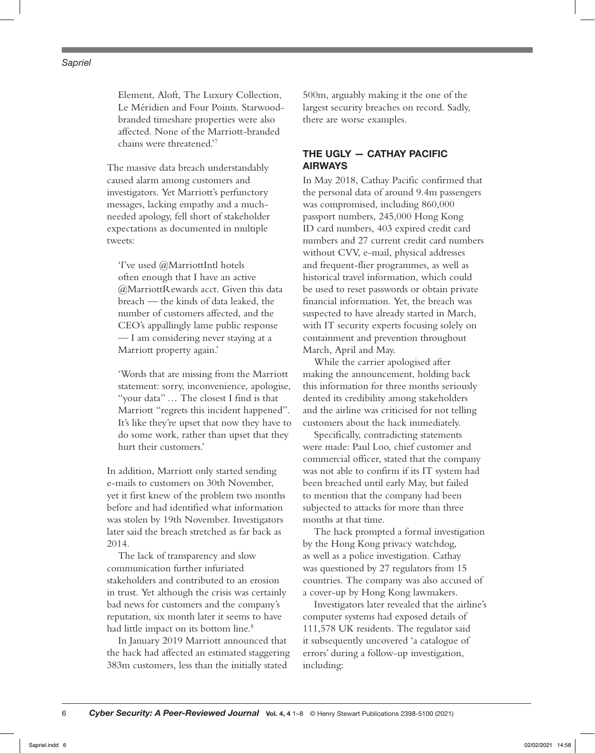Element, Aloft, The Luxury Collection, Le Méridien and Four Points. Starwoodbranded timeshare properties were also affected. None of the Marriott-branded chains were threatened.'7

The massive data breach understandably caused alarm among customers and investigators. Yet Marriott's perfunctory messages, lacking empathy and a muchneeded apology, fell short of stakeholder expectations as documented in multiple tweets:

'I've used @MarriottIntl hotels often enough that I have an active @MarriottRewards acct. Given this data breach — the kinds of data leaked, the number of customers affected, and the CEO's appallingly lame public response — I am considering never staying at a Marriott property again.'

'Words that are missing from the Marriott statement: sorry, inconvenience, apologise, "your data" … The closest I find is that Marriott "regrets this incident happened". It's like they're upset that now they have to do some work, rather than upset that they hurt their customers.'

In addition, Marriott only started sending e-mails to customers on 30th November, yet it first knew of the problem two months before and had identified what information was stolen by 19th November. Investigators later said the breach stretched as far back as 2014.

The lack of transparency and slow communication further infuriated stakeholders and contributed to an erosion in trust. Yet although the crisis was certainly bad news for customers and the company's reputation, six month later it seems to have had little impact on its bottom line.<sup>8</sup>

In January 2019 Marriott announced that the hack had affected an estimated staggering 383m customers, less than the initially stated

500m, arguably making it the one of the largest security breaches on record. Sadly, there are worse examples.

## THE UGLY — CATHAY PACIFIC AIRWAYS

In May 2018, Cathay Pacific confirmed that the personal data of around 9.4m passengers was compromised, including 860,000 passport numbers, 245,000 Hong Kong ID card numbers, 403 expired credit card numbers and 27 current credit card numbers without CVV, e-mail, physical addresses and frequent-flier programmes, as well as historical travel information, which could be used to reset passwords or obtain private financial information. Yet, the breach was suspected to have already started in March, with IT security experts focusing solely on containment and prevention throughout March, April and May.

While the carrier apologised after making the announcement, holding back this information for three months seriously dented its credibility among stakeholders and the airline was criticised for not telling customers about the hack immediately.

Specifically, contradicting statements were made: Paul Loo, chief customer and commercial officer, stated that the company was not able to confirm if its IT system had been breached until early May, but failed to mention that the company had been subjected to attacks for more than three months at that time.

The hack prompted a formal investigation by the Hong Kong privacy watchdog, as well as a police investigation. Cathay was questioned by 27 regulators from 15 countries. The company was also accused of a cover-up by Hong Kong lawmakers.

Investigators later revealed that the airline's computer systems had exposed details of 111,578 UK residents. The regulator said it subsequently uncovered 'a catalogue of errors' during a follow-up investigation, including: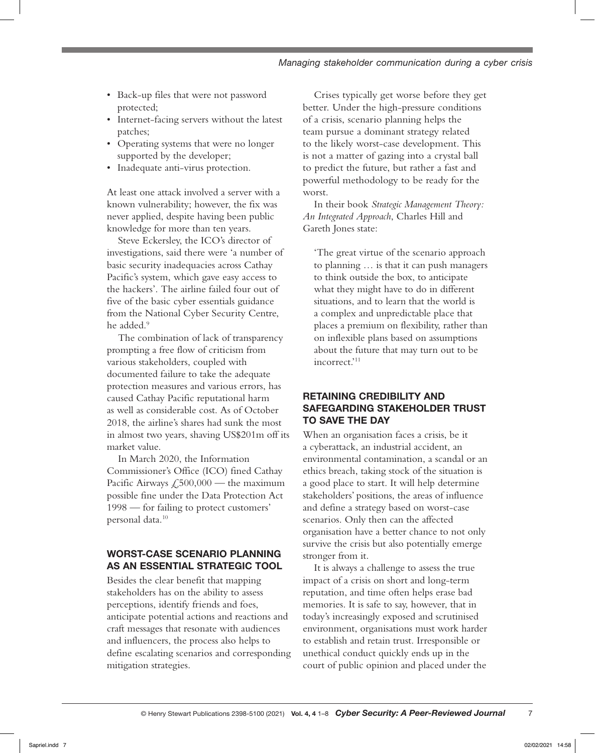- Back-up files that were not password protected;
- Internet-facing servers without the latest patches;
- Operating systems that were no longer supported by the developer;
- Inadequate anti-virus protection.

At least one attack involved a server with a known vulnerability; however, the fix was never applied, despite having been public knowledge for more than ten years.

Steve Eckersley, the ICO's director of investigations, said there were 'a number of basic security inadequacies across Cathay Pacific's system, which gave easy access to the hackers'. The airline failed four out of five of the basic cyber essentials guidance from the National Cyber Security Centre, he added.<sup>9</sup>

The combination of lack of transparency prompting a free flow of criticism from various stakeholders, coupled with documented failure to take the adequate protection measures and various errors, has caused Cathay Pacific reputational harm as well as considerable cost. As of October 2018, the airline's shares had sunk the most in almost two years, shaving US\$201m off its market value.

In March 2020, the Information Commissioner's Office (ICO) fined Cathay Pacific Airways  $\mathcal{L}$ ,500,000 — the maximum possible fine under the Data Protection Act 1998 — for failing to protect customers' personal data.<sup>10</sup>

# WORST-CASE SCENARIO PLANNING AS AN ESSENTIAL STRATEGIC TOOL

Besides the clear benefit that mapping stakeholders has on the ability to assess perceptions, identify friends and foes, anticipate potential actions and reactions and craft messages that resonate with audiences and influencers, the process also helps to define escalating scenarios and corresponding mitigation strategies.

Crises typically get worse before they get better. Under the high-pressure conditions of a crisis, scenario planning helps the team pursue a dominant strategy related to the likely worst-case development. This is not a matter of gazing into a crystal ball to predict the future, but rather a fast and powerful methodology to be ready for the worst.

In their book *Strategic Management Theory: An Integrated Approach*, Charles Hill and Gareth Jones state:

'The great virtue of the scenario approach to planning … is that it can push managers to think outside the box, to anticipate what they might have to do in different situations, and to learn that the world is a complex and unpredictable place that places a premium on flexibility, rather than on inflexible plans based on assumptions about the future that may turn out to be incorrect.'11

## RETAINING CREDIBILITY AND SAFEGARDING STAKEHOLDER TRUST TO SAVE THE DAY

When an organisation faces a crisis, be it a cyberattack, an industrial accident, an environmental contamination, a scandal or an ethics breach, taking stock of the situation is a good place to start. It will help determine stakeholders' positions, the areas of influence and define a strategy based on worst-case scenarios. Only then can the affected organisation have a better chance to not only survive the crisis but also potentially emerge stronger from it.

It is always a challenge to assess the true impact of a crisis on short and long-term reputation, and time often helps erase bad memories. It is safe to say, however, that in today's increasingly exposed and scrutinised environment, organisations must work harder to establish and retain trust. Irresponsible or unethical conduct quickly ends up in the court of public opinion and placed under the